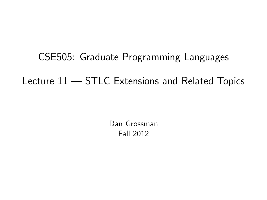# CSE505: Graduate Programming Languages Lecture 11 — STLC Extensions and Related Topics

<span id="page-0-0"></span>Dan Grossman Fall 2012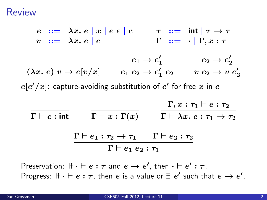#### Review

$$
e ::= \lambda x. e | x | e e | c \qquad \tau ::= \text{int} | \tau \to \tau
$$
  
\n
$$
v ::= \lambda x. e | c \qquad \Gamma ::= \cdot | \Gamma, x : \tau
$$
  
\n
$$
\overline{(\lambda x. e) v \to e[v/x]} \qquad \overline{e_1 e_2 \to e_1' e_2} \qquad \overline{v e_2 \to e_2' e_2}
$$
  
\n
$$
e[e'/x]: \text{ capture-avoiding substitution of } e' \text{ for free } x \text{ in } e
$$
  
\n
$$
\overline{\Gamma \vdash c : \text{int}} \qquad \overline{\Gamma \vdash x : \Gamma(x)} \qquad \overline{\Gamma \vdash \lambda x. e : \tau_1 \to \tau_2}
$$
  
\n
$$
\frac{\Gamma \vdash e_1 : \tau_2 \to \tau_1 \qquad \Gamma \vdash e_2 : \tau_2}{\Gamma \vdash e_1 e_2 : \tau_1}
$$

Preservation: If  $\cdot \vdash e : \tau$  and  $e \to e'$ , then  $\cdot \vdash e' : \tau$ . Progress: If  $\cdot \vdash e : \tau$ , then  $e$  is a value or  $\exists e'$  such that  $e \to e'.$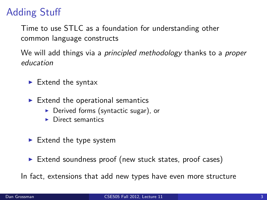# Adding Stuff

Time to use STLC as a foundation for understanding other common language constructs

We will add things via a *principled methodology* thanks to a *proper* education

- $\blacktriangleright$  Extend the syntax
- $\blacktriangleright$  Extend the operational semantics
	- $\triangleright$  Derived forms (syntactic sugar), or
	- $\blacktriangleright$  Direct semantics
- $\blacktriangleright$  Extend the type system
- $\triangleright$  Extend soundness proof (new stuck states, proof cases)

In fact, extensions that add new types have even more structure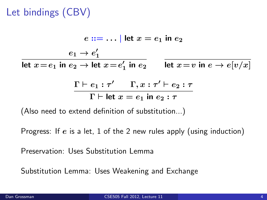# Let bindings (CBV)

$$
e ::= \dots | \text{ let } x = e_1 \text{ in } e_2
$$
  
\n
$$
\frac{e_1 \rightarrow e'_1}{\text{let } x = e_1 \text{ in } e_2 \rightarrow \text{let } x = e'_1 \text{ in } e_2} \qquad \frac{e_1 \rightarrow e'_2}{\text{let } x = v \text{ in } e \rightarrow e[v/x]}
$$
  
\n
$$
\frac{\Gamma \vdash e_1 : \tau' \qquad \Gamma, x : \tau' \vdash e_2 : \tau}{\Gamma \vdash \text{let } x = e_1 \text{ in } e_2 : \tau}
$$

(Also need to extend definition of substitution...)

Progress: If  $e$  is a let, 1 of the 2 new rules apply (using induction)

Preservation: Uses Substitution Lemma

Substitution Lemma: Uses Weakening and Exchange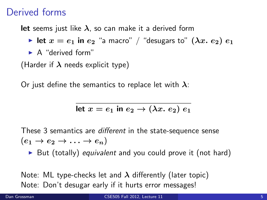## Derived forms

**let** seems just like  $\lambda$ , so can make it a derived form

- In let  $x = e_1$  in  $e_2$  "a macro" / "desugars to"  $(\lambda x. e_2) e_1$
- $\blacktriangleright$  A "derived form"

(Harder if  $\lambda$  needs explicit type)

Or just define the semantics to replace let with  $\lambda$ :

$$
let x = e_1 in e_2 \rightarrow (\lambda x. e_2) e_1
$$

These 3 semantics are different in the state-sequence sense  $(e_1 \rightarrow e_2 \rightarrow \ldots \rightarrow e_n)$ 

 $\triangleright$  But (totally) equivalent and you could prove it (not hard)

Note: ML type-checks let and  $\lambda$  differently (later topic) Note: Don't desugar early if it hurts error messages!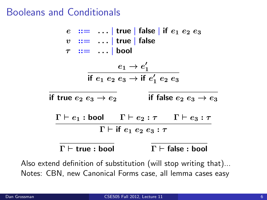#### Booleans and Conditionals

 $e$  :  $=$  ... | true | false | if  $e_1 e_2 e_3$  $v := \ldots |$  true | false  $\tau$  :  $=$  ... | bool  $e_1 \rightarrow e_1'$ if  $e_1 e_2 e_3 \rightarrow$  if  $e'_1 e_2 e_3$ if true  $e_2 e_3 \rightarrow e_2$  if false  $e_2 e_3 \rightarrow e_3$  $\Gamma \vdash e_1 : \text{bool}$   $\Gamma \vdash e_2 : \tau$   $\Gamma \vdash e_3 : \tau$  $\Gamma \vdash$  if  $e_1$   $e_2$   $e_3 : \tau$  $\Gamma \vdash$  true : bool  $\Gamma \vdash$  false : bool

Also extend definition of substitution (will stop writing that)... Notes: CBN, new Canonical Forms case, all lemma cases easy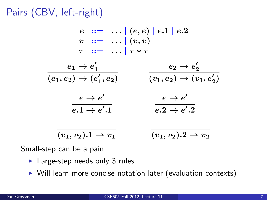Pairs (CBV, left-right)

$$
e ::= ... | (e, e) | e.1 | e.2
$$
\n
$$
v ::= ... | (v, v)
$$
\n
$$
\tau ::= ... | \tau * \tau
$$
\n
$$
\frac{e_1 \rightarrow e'_1}{(e_1, e_2) \rightarrow (e'_1, e_2)} \qquad \frac{e_2 \rightarrow e'_2}{(v_1, e_2) \rightarrow (v_1, e'_2)}
$$
\n
$$
\frac{e \rightarrow e'}{e.1 \rightarrow e'.1} \qquad \frac{e \rightarrow e'}{e.2 \rightarrow e'.2}
$$
\n
$$
\frac{v_1, v_2, 1 \rightarrow v_1}{(v_1, v_2), 2 \rightarrow v_2}
$$

Small-step can be a pain

- $\blacktriangleright$  Large-step needs only 3 rules
- $\triangleright$  Will learn more concise notation later (evaluation contexts)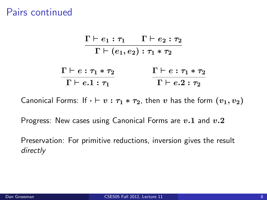Pairs continued

$$
\frac{\Gamma \vdash e_1 : \tau_1 \qquad \Gamma \vdash e_2 : \tau_2}{\Gamma \vdash (e_1, e_2) : \tau_1 * \tau_2}
$$
\n
$$
\frac{\Gamma \vdash e : \tau_1 * \tau_2}{\Gamma \vdash e.1 : \tau_1} \qquad \frac{\Gamma \vdash e : \tau_1 * \tau_2}{\Gamma \vdash e.2 : \tau_2}
$$

Canonical Forms: If  $\cdot \vdash v : \tau_1 * \tau_2$ , then v has the form  $(v_1, v_2)$ 

Progress: New cases using Canonical Forms are  $v.1$  and  $v.2$ 

Preservation: For primitive reductions, inversion gives the result directly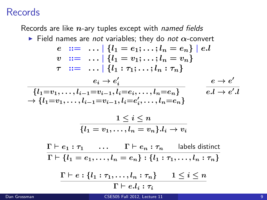## Records

Records are like  $n$ -ary tuples except with named fields

Field names are not variables; they do not  $\alpha$ -convert  $e$  ::= ...  $\{l_1 = e_1; \ldots; l_n = e_n\}$  | e.l  $v := \ldots | \{l_1 = v_1; \ldots; l_n = v_n\}$  $\tau$  ::= ... |  $\{l_1 : \tau_1 : \ldots : l_n : \tau_n\}$  $e_i \rightarrow e_i'$  ${l_1=v_1,\ldots,l_{i-1}=v_{i-1}, l_i=e_i,\ldots,l_n=e_n}$  $\rightarrow \{l_1 = v_1, \ldots, l_{i-1} = v_{i-1}, l_i = e'_i, \ldots, l_n = e_n\}$  $e \rightarrow e'$  $e.l \rightarrow e'.l$  $1 \leq i \leq n$  $\overline{\{l_1 = v_1, \ldots, l_n = v_n\}} \cdot l_i \to v_i$  $\Gamma \vdash e_1 : \tau_1 \quad \ldots \quad \Gamma \vdash e_n : \tau_n \quad \text{labels distinct}$  $\Gamma \vdash \{l_1 = e_1, \ldots, l_n = e_n\} : \{l_1 : \tau_1, \ldots, l_n : \tau_n\}$  $\Gamma \vdash e : \{l_1 : \tau_1, \ldots, l_n : \tau_n\}$   $1 \leq i \leq n$  $\Gamma \vdash e.l_i : \tau_i$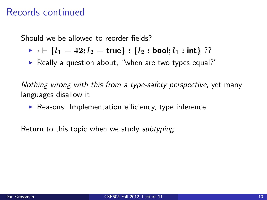## Records continued

Should we be allowed to reorder fields?

- $\triangleright \cdot \vdash \{l_1 = 42; l_2 = \text{true}\} : \{l_2 : \text{bool}; l_1 : \text{int}\}$  ??
- $\triangleright$  Really a question about, "when are two types equal?"

Nothing wrong with this from a type-safety perspective, yet many languages disallow it

 $\blacktriangleright$  Reasons: Implementation efficiency, type inference

Return to this topic when we study *subtyping*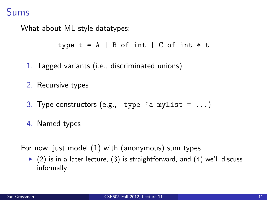## Sums

What about ML-style datatypes:

```
type t = A \mid B of int \mid C of int * t
```
- 1. Tagged variants (i.e., discriminated unions)
- 2. Recursive types
- 3. Type constructors (e.g., type 'a mylist =  $\dots$ )
- 4. Named types

For now, just model (1) with (anonymous) sum types

 $\triangleright$  (2) is in a later lecture, (3) is straightforward, and (4) we'll discuss informally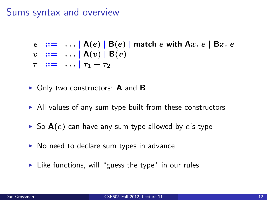## Sums syntax and overview

$$
e ::= ... | A(e) | B(e) | \text{match } e \text{ with } A_x. e | B_x. e
$$
  

$$
v ::= ... | A(v) | B(v)
$$
  

$$
\tau ::= ... | \tau_1 + \tau_2
$$

- $\triangleright$  Only two constructors: **A** and **B**
- $\triangleright$  All values of any sum type built from these constructors
- $\triangleright$  So  $A(e)$  can have any sum type allowed by e's type
- $\triangleright$  No need to declare sum types in advance
- $\blacktriangleright$  Like functions, will "guess the type" in our rules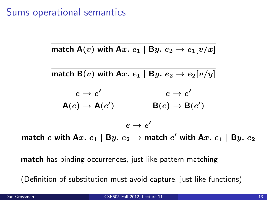#### Sums operational semantics

$$
\text{match A}(v) \text{ with A}x. e_1 \mid \text{B}y. e_2 \rightarrow e_1[v/x]
$$

$$
\begin{array}{ccc}\n\text{match } \mathsf{B}(v) \text{ with } \mathsf{A}x. \ e_1 \mid \mathsf{B}y. \ e_2 \to e_2[v/y] \\
\hline\n\mathsf{A}(e) \to \mathsf{A}(e') & e \to e' \\
\hline\n\mathsf{B}(e) \to \mathsf{B}(e') & \\
\hline\n\mathsf{B}(e) \to \mathsf{B}(e') & \\
\hline\n\mathsf{B}(e) \to \mathsf{B}(e') & \\
\hline\n\end{array}
$$

match  $e$  with A $x.$   $e_1 \mid$  B $y.$   $e_2$   $\rightarrow$  match  $e'$  with A $x.$   $e_1 \mid$  B $y.$   $e_2$ 

match has binding occurrences, just like pattern-matching

(Definition of substitution must avoid capture, just like functions)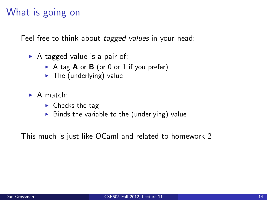# What is going on

Feel free to think about *tagged values* in your head:

- $\triangleright$  A tagged value is a pair of:
	- A tag  $A$  or  $B$  (or 0 or 1 if you prefer)
	- $\blacktriangleright$  The (underlying) value
- $\blacktriangleright$  A match:
	- $\blacktriangleright$  Checks the tag
	- $\triangleright$  Binds the variable to the (underlying) value

This much is just like OCaml and related to homework 2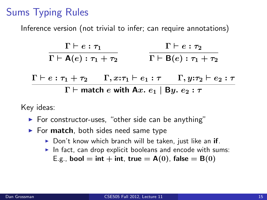# Sums Typing Rules

Inference version (not trivial to infer; can require annotations)

| $\Gamma \vdash e : \tau_1$                                 |  | $\Gamma \vdash e : \tau_2$ |                                                                                                                                       |
|------------------------------------------------------------|--|----------------------------|---------------------------------------------------------------------------------------------------------------------------------------|
| $\Gamma \vdash A(e) : \tau_1 + \tau_2$                     |  |                            | $\Gamma \vdash B(e) : \tau_1 + \tau_2$                                                                                                |
|                                                            |  |                            | $\Gamma \vdash e : \tau_1 + \tau_2 \quad \quad \Gamma, x{:}\tau_1 \vdash e_1 : \tau \quad \quad \Gamma, y{:}\tau_2 \vdash e_2 : \tau$ |
| $\Gamma \vdash$ match e with Ax. $e_1 \mid By. e_2 : \tau$ |  |                            |                                                                                                                                       |

Key ideas:

- $\blacktriangleright$  For constructor-uses, "other side can be anything"
- $\blacktriangleright$  For match, both sides need same type
	- $\triangleright$  Don't know which branch will be taken, just like an if.
	- In fact, can drop explicit booleans and encode with sums: E.g., bool = int + int, true =  $A(0)$ , false =  $B(0)$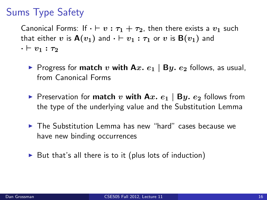# Sums Type Safety

Canonical Forms: If  $\cdot \vdash v : \tau_1 + \tau_2$ , then there exists a  $v_1$  such that either v is  $A(v_1)$  and  $\cdot \vdash v_1 : \tau_1$  or v is  $B(v_1)$  and  $\cdot \vdash v_1 : \tau_2$ 

- Progress for **match** v with  $Ax$ .  $e_1 | By$ .  $e_2$  follows, as usual, from Canonical Forms
- **P** Preservation for **match** v with Ax.  $e_1$  | By.  $e_2$  follows from the type of the underlying value and the Substitution Lemma
- $\blacktriangleright$  The Substitution Lemma has new "hard" cases because we have new binding occurrences
- $\triangleright$  But that's all there is to it (plus lots of induction)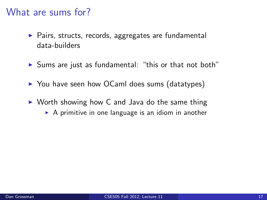#### What are sums for?

- $\triangleright$  Pairs, structs, records, aggregates are fundamental data-builders
- $\triangleright$  Sums are just as fundamental: "this or that not both"
- ▶ You have seen how OCaml does sums (datatypes)
- $\triangleright$  Worth showing how C and Java do the same thing
	- $\triangleright$  A primitive in one language is an idiom in another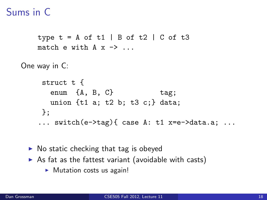# Sums in C

```
type t = A of t1 | B of t2 | C of t3match e with A \times - ...
One way in C:
     struct t {
      enum {A, B, C} tag;
      union {t1 a; t2 b; t3 c;} data;
    };
    ... switch(e->tag){ case A: t1 x=e->data.a; ...
```
- $\triangleright$  No static checking that tag is obeyed
- $\triangleright$  As fat as the fattest variant (avoidable with casts)
	- $\triangleright$  Mutation costs us again!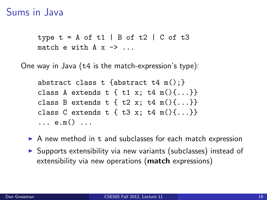#### Sums in Java

type  $t = A$  of  $t1$  | B of  $t2$  | C of  $t3$ match e with  $A \times -$  ...

One way in Java (t4 is the match-expression's type):

```
abstract class t {abstract t4 m(); }
class A extends t { t1 x; t4 m(){...}}
class B extends t \{ t2 x; t4 m() \{... \} \}class C extends t \{ t3 x; t4 m() \{... \} \}... e.m() ...
```
- $\triangleright$  A new method in t and subclasses for each match expression
- $\triangleright$  Supports extensibility via new variants (subclasses) instead of extensibility via new operations (match expressions)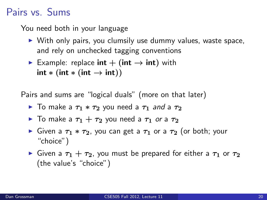## Pairs vs. Sums

You need both in your language

- $\triangleright$  With only pairs, you clumsily use dummy values, waste space, and rely on unchecked tagging conventions
- Example: replace  $int + (int \rightarrow int)$  with  $int * (int * (int \rightarrow int))$

Pairs and sums are "logical duals" (more on that later)

- $\blacktriangleright$  To make a  $τ_1 * τ_2$  you need a  $τ_1$  and a  $τ_2$
- $\blacktriangleright$  To make a  $\tau_1 + \tau_2$  you need a  $\tau_1$  or a  $\tau_2$
- $\triangleright$  Given a  $\tau_1 * \tau_2$ , you can get a  $\tau_1$  or a  $\tau_2$  (or both; your "choice")
- **If** Given a  $\tau_1 + \tau_2$ , you must be prepared for either a  $\tau_1$  or  $\tau_2$ (the value's "choice")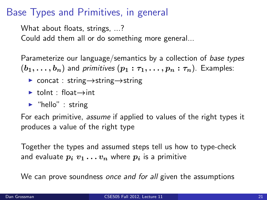### Base Types and Primitives, in general

What about floats, strings, ...? Could add them all or do something more general...

Parameterize our language/semantics by a collection of base types  $(b_1, \ldots, b_n)$  and primitives  $(p_1 : \tau_1, \ldots, p_n : \tau_n)$ . Examples:

- $\triangleright$  concat : string  $\rightarrow$ string  $\rightarrow$ string
- $\blacktriangleright$  tolnt : float $\rightarrow$ int
- $\blacktriangleright$  "hello" : string

For each primitive, assume if applied to values of the right types it produces a value of the right type

Together the types and assumed steps tell us how to type-check and evaluate  $p_i v_1 \ldots v_n$  where  $p_i$  is a primitive

We can prove soundness once and for all given the assumptions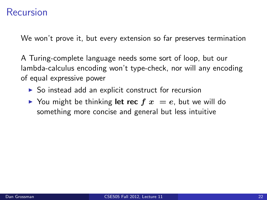#### Recursion

We won't prove it, but every extension so far preserves termination

A Turing-complete language needs some sort of loop, but our lambda-calculus encoding won't type-check, nor will any encoding of equal expressive power

- $\triangleright$  So instead add an explicit construct for recursion
- $\triangleright$  You might be thinking **let rec**  $f(x) = e$ , but we will do something more concise and general but less intuitive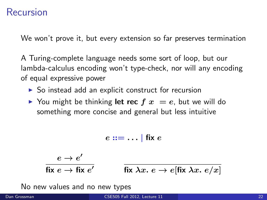We won't prove it, but every extension so far preserves termination

A Turing-complete language needs some sort of loop, but our lambda-calculus encoding won't type-check, nor will any encoding of equal expressive power

- $\triangleright$  So instead add an explicit construct for recursion
- $\triangleright$  You might be thinking **let rec**  $f(x) = e$ , but we will do something more concise and general but less intuitive

$$
e ::= \dots |
$$
 fix  $e$ 

$$
\frac{e \to e'}{\text{fix } e \to \text{fix } e'} \qquad \qquad \frac{\text{fix } \lambda x. \ e \to e[\text{fix } \lambda x. \ e/x]}{\text{fix } \lambda x. \ e \to e[\text{fix } \lambda x. \ e/x]}
$$

No new values and no new types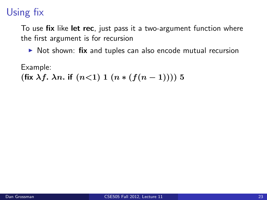To use fix like let rec, just pass it a two-argument function where the first argument is for recursion

 $\triangleright$  Not shown: fix and tuples can also encode mutual recursion

Example: (fix  $\lambda f$ .  $\lambda n$ . if  $(n<1)$  1  $(n*(f(n-1))))$  5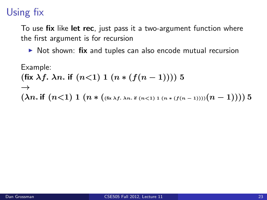To use fix like let rec, just pass it a two-argument function where the first argument is for recursion

 $\triangleright$  Not shown: fix and tuples can also encode mutual recursion

Example:  
\n
$$
(\text{fix }\lambda f. \lambda n. \text{ if } (n<1) 1 (n * (f(n-1)))) 5
$$
  
\n $\rightarrow$   
\n $(\lambda n. \text{if } (n<1) 1 (n * ((\text{fix }\lambda f. \lambda n. \text{if } (n<1) 1 (n * (f(n-1))))(n-1)))) 5$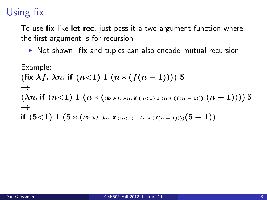To use fix like let rec, just pass it a two-argument function where the first argument is for recursion

 $\triangleright$  Not shown: fix and tuples can also encode mutual recursion

Example:

\n(fix 
$$
\lambda f
$$
.  $\lambda n$ . if  $(n < 1) 1 (n * (f(n-1))) 5$ 

\n $\rightarrow$ 

\n( $\lambda n$ . if  $(n < 1) 1 (n * ((fix  $\lambda f$ .  $\lambda n$ . if  $(n < 1) 1 (n * (f(n-1))))(n-1)$ )) 5$ 

\n $\rightarrow$ 

\nif  $(5 < 1) 1 (5 * ((fix  $\lambda f$ .  $\lambda n$ . if  $(n < 1) 1 (n * (f(n-1))))(5 - 1)$$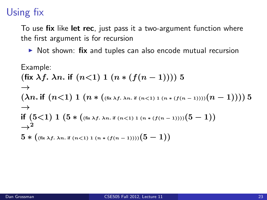To use fix like let rec, just pass it a two-argument function where the first argument is for recursion

 $\triangleright$  Not shown: fix and tuples can also encode mutual recursion

Example:

\n(fix 
$$
\lambda f
$$
.  $\lambda n$ . if  $(n < 1) 1 (n * (f(n-1))) 5$ 

\n $\rightarrow$ 

\n( $\lambda n$ . if  $(n < 1) 1 (n * ((fix  $\lambda f$ .  $\lambda n$ . if  $(n < 1) 1 (n * (f(n-1))))(n-1)$ )) 5$ 

\n $\rightarrow$ 

\nif  $(5 < 1) 1 (5 * ((fix  $\lambda f$ .  $\lambda n$ . if  $(n < 1) 1 (n * (f(n-1))))(5 - 1)$ )$ 

\n $\rightarrow$ 

\n $5 * ((fix  $\lambda f$ .  $\lambda n$ . if  $(n < 1) 1 (n * (f(n-1))))(5 - 1)$ )$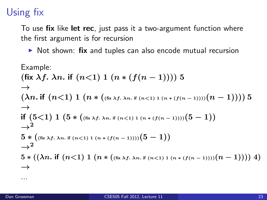To use fix like let rec, just pass it a two-argument function where the first argument is for recursion

 $\triangleright$  Not shown: fix and tuples can also encode mutual recursion

Example:  
\n
$$
(\text{fix }\lambda f. \lambda n. \text{ if } (n<1) 1 (n * (f(n-1)))) 5
$$
\n→  
\n
$$
(\lambda n. \text{ if } (n<1) 1 (n * ((\text{fix }\lambda f. \lambda n. \text{ if } (n<1) 1 (n * (f(n-1))))(n-1)))) 5
$$
\n→  
\n
$$
\text{if } (5<1) 1 (5 * ((\text{fix }\lambda f. \lambda n. \text{ if } (n<1) 1 (n * (f(n-1))))(5-1))
$$
\n→  
\n
$$
5 * ((\text{fix }\lambda f. \lambda n. \text{ if } (n<1) 1 (n * (f(n-1))))(5-1))
$$
\n→  
\n
$$
2
$$
\n5 \* ((\lambda n. \text{ if } (n<1) 1 (n \* ((\text{fix }\lambda f. \lambda n. \text{ if } (n<1) 1 (n \* (f(n-1))))(n-1)))) 4)

...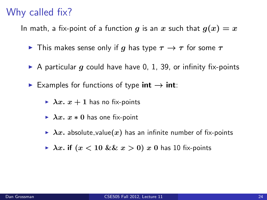## Why called fix?

In math, a fix-point of a function g is an x such that  $g(x) = x$ 

- **If** This makes sense only if g has type  $\tau \rightarrow \tau$  for some  $\tau$
- A particular g could have have 0, 1, 39, or infinity fix-points
- Examples for functions of type  $int \rightarrow int$ :
	- $\triangleright$   $\lambda x. x + 1$  has no fix-points
	- $\triangleright$   $\lambda x. x * 0$  has one fix-point
	- $\rightarrow \lambda x$ . absolute\_value(x) has an infinite number of fix-points
	- $\triangleright$   $\lambda x$ . if  $(x < 10 \&\& x > 0)$  x 0 has 10 fix-points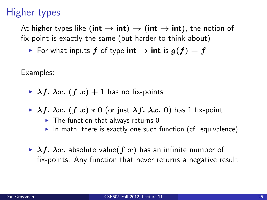## Higher types

At higher types like (int  $\rightarrow$  int)  $\rightarrow$  (int  $\rightarrow$  int), the notion of fix-point is exactly the same (but harder to think about)

► For what inputs  $f$  of type int  $\rightarrow$  int is  $g(f) = f$ 

Examples:

- $\triangleright$   $\lambda f$ .  $\lambda x$ .  $(f x) + 1$  has no fix-points
- $\triangleright$   $\lambda f. \lambda x.$  (f x)  $\ast$  0 (or just  $\lambda f. \lambda x.$  0) has 1 fix-point
	- $\triangleright$  The function that always returns 0
	- In math, there is exactly one such function (cf. equivalence)
- $\triangleright$   $\lambda f$ .  $\lambda x$ . absolute\_value(f x) has an infinite number of fix-points: Any function that never returns a negative result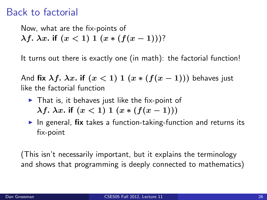#### Back to factorial

Now, what are the fix-points of  $λf. λx.$  if  $(x < 1) 1 (x * (f(x – 1)))?$ 

It turns out there is exactly one (in math): the factorial function!

And fix  $\lambda f$ .  $\lambda x$ . if  $(x < 1)$  1  $(x * (f(x - 1)))$  behaves just like the factorial function

- $\blacktriangleright$  That is, it behaves just like the fix-point of  $λf. λx.$  if  $(x < 1) 1 (x * (f(x − 1)))$
- $\triangleright$  In general, fix takes a function-taking-function and returns its fix-point

(This isn't necessarily important, but it explains the terminology and shows that programming is deeply connected to mathematics)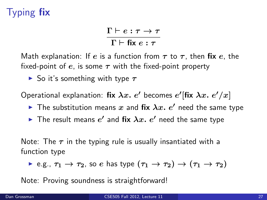# Typing fix

 $\Gamma \vdash e : \tau \to \tau$  $\Gamma \vdash$  fix  $e : \tau$ 

Math explanation: If e is a function from  $\tau$  to  $\tau$ , then fix e, the fixed-point of e, is some  $\tau$  with the fixed-point property

 $\triangleright$  So it's something with type  $\tau$ 

Operational explanation: fix  $\lambda x.$   $e'$  becomes  $e'$ [fix  $\lambda x.$   $e'/x]$ 

- $\blacktriangleright$  The substitution means x and fix  $\lambda x$ .  $e'$  need the same type
- $\blacktriangleright$  The result means  $e'$  and fix  $\lambda x.$   $e'$  need the same type

Note: The  $\tau$  in the typing rule is usually insantiated with a function type

 $\triangleright$  e.g.,  $\tau_1 \to \tau_2$ , so e has type  $(\tau_1 \to \tau_2) \to (\tau_1 \to \tau_2)$ 

Note: Proving soundness is straightforward!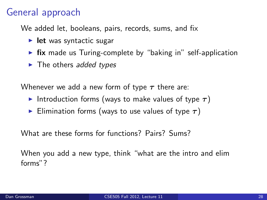## General approach

We added let, booleans, pairs, records, sums, and fix

- $\blacktriangleright$  let was syntactic sugar
- $\triangleright$  fix made us Turing-complete by "baking in" self-application
- $\blacktriangleright$  The others added types

Whenever we add a new form of type  $\tau$  there are:

- Introduction forms (ways to make values of type  $\tau$ )
- Elimination forms (ways to use values of type  $\tau$ )

What are these forms for functions? Pairs? Sums?

When you add a new type, think "what are the intro and elim forms"?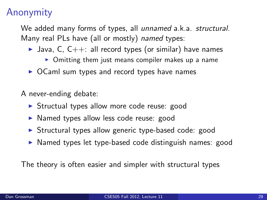## Anonymity

We added many forms of types, all unnamed a.k.a. structural. Many real PLs have (all or mostly) named types:

- I Java, C,  $C_{++}$ : all record types (or similar) have names
	- $\triangleright$  Omitting them just means compiler makes up a name
- $\triangleright$  OCaml sum types and record types have names

A never-ending debate:

- ▶ Structual types allow more code reuse: good
- $\triangleright$  Named types allow less code reuse: good
- $\triangleright$  Structural types allow generic type-based code: good
- $\triangleright$  Named types let type-based code distinguish names: good

The theory is often easier and simpler with structural types